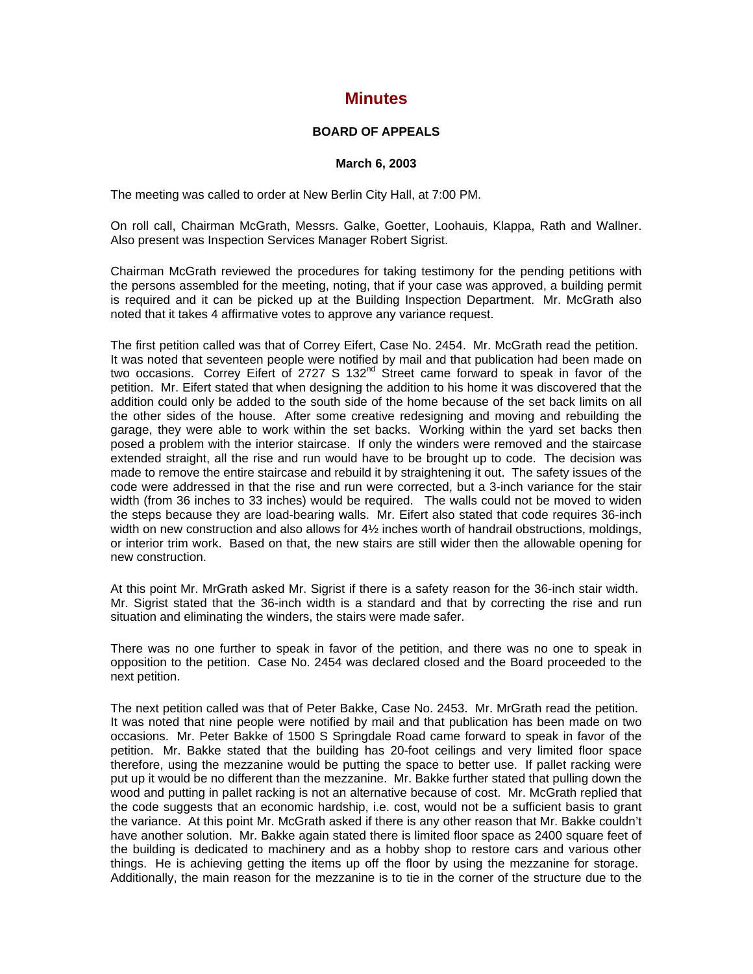## **Minutes**

## **BOARD OF APPEALS**

## **March 6, 2003**

The meeting was called to order at New Berlin City Hall, at 7:00 PM.

On roll call, Chairman McGrath, Messrs. Galke, Goetter, Loohauis, Klappa, Rath and Wallner. Also present was Inspection Services Manager Robert Sigrist.

Chairman McGrath reviewed the procedures for taking testimony for the pending petitions with the persons assembled for the meeting, noting, that if your case was approved, a building permit is required and it can be picked up at the Building Inspection Department. Mr. McGrath also noted that it takes 4 affirmative votes to approve any variance request.

The first petition called was that of Correy Eifert, Case No. 2454. Mr. McGrath read the petition. It was noted that seventeen people were notified by mail and that publication had been made on two occasions. Correy Eifert of 2727 S 132<sup>nd</sup> Street came forward to speak in favor of the petition. Mr. Eifert stated that when designing the addition to his home it was discovered that the addition could only be added to the south side of the home because of the set back limits on all the other sides of the house. After some creative redesigning and moving and rebuilding the garage, they were able to work within the set backs. Working within the yard set backs then posed a problem with the interior staircase. If only the winders were removed and the staircase extended straight, all the rise and run would have to be brought up to code. The decision was made to remove the entire staircase and rebuild it by straightening it out. The safety issues of the code were addressed in that the rise and run were corrected, but a 3-inch variance for the stair width (from 36 inches to 33 inches) would be required. The walls could not be moved to widen the steps because they are load-bearing walls. Mr. Eifert also stated that code requires 36-inch width on new construction and also allows for 4½ inches worth of handrail obstructions, moldings, or interior trim work. Based on that, the new stairs are still wider then the allowable opening for new construction.

At this point Mr. MrGrath asked Mr. Sigrist if there is a safety reason for the 36-inch stair width. Mr. Sigrist stated that the 36-inch width is a standard and that by correcting the rise and run situation and eliminating the winders, the stairs were made safer.

There was no one further to speak in favor of the petition, and there was no one to speak in opposition to the petition. Case No. 2454 was declared closed and the Board proceeded to the next petition.

The next petition called was that of Peter Bakke, Case No. 2453. Mr. MrGrath read the petition. It was noted that nine people were notified by mail and that publication has been made on two occasions. Mr. Peter Bakke of 1500 S Springdale Road came forward to speak in favor of the petition. Mr. Bakke stated that the building has 20-foot ceilings and very limited floor space therefore, using the mezzanine would be putting the space to better use. If pallet racking were put up it would be no different than the mezzanine. Mr. Bakke further stated that pulling down the wood and putting in pallet racking is not an alternative because of cost. Mr. McGrath replied that the code suggests that an economic hardship, i.e. cost, would not be a sufficient basis to grant the variance. At this point Mr. McGrath asked if there is any other reason that Mr. Bakke couldn't have another solution. Mr. Bakke again stated there is limited floor space as 2400 square feet of the building is dedicated to machinery and as a hobby shop to restore cars and various other things. He is achieving getting the items up off the floor by using the mezzanine for storage. Additionally, the main reason for the mezzanine is to tie in the corner of the structure due to the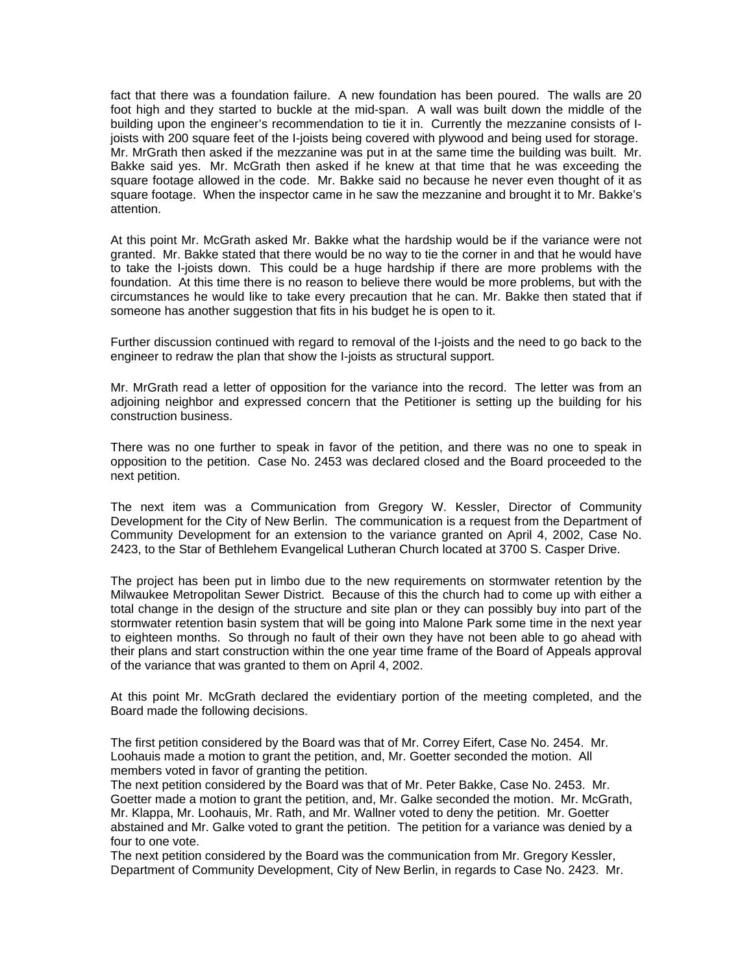fact that there was a foundation failure. A new foundation has been poured. The walls are 20 foot high and they started to buckle at the mid-span. A wall was built down the middle of the building upon the engineer's recommendation to tie it in. Currently the mezzanine consists of Ijoists with 200 square feet of the I-joists being covered with plywood and being used for storage. Mr. MrGrath then asked if the mezzanine was put in at the same time the building was built. Mr. Bakke said yes. Mr. McGrath then asked if he knew at that time that he was exceeding the square footage allowed in the code. Mr. Bakke said no because he never even thought of it as square footage. When the inspector came in he saw the mezzanine and brought it to Mr. Bakke's attention.

At this point Mr. McGrath asked Mr. Bakke what the hardship would be if the variance were not granted. Mr. Bakke stated that there would be no way to tie the corner in and that he would have to take the I-joists down. This could be a huge hardship if there are more problems with the foundation. At this time there is no reason to believe there would be more problems, but with the circumstances he would like to take every precaution that he can. Mr. Bakke then stated that if someone has another suggestion that fits in his budget he is open to it.

Further discussion continued with regard to removal of the I-joists and the need to go back to the engineer to redraw the plan that show the I-joists as structural support.

Mr. MrGrath read a letter of opposition for the variance into the record. The letter was from an adjoining neighbor and expressed concern that the Petitioner is setting up the building for his construction business.

There was no one further to speak in favor of the petition, and there was no one to speak in opposition to the petition. Case No. 2453 was declared closed and the Board proceeded to the next petition.

The next item was a Communication from Gregory W. Kessler, Director of Community Development for the City of New Berlin. The communication is a request from the Department of Community Development for an extension to the variance granted on April 4, 2002, Case No. 2423, to the Star of Bethlehem Evangelical Lutheran Church located at 3700 S. Casper Drive.

The project has been put in limbo due to the new requirements on stormwater retention by the Milwaukee Metropolitan Sewer District. Because of this the church had to come up with either a total change in the design of the structure and site plan or they can possibly buy into part of the stormwater retention basin system that will be going into Malone Park some time in the next year to eighteen months. So through no fault of their own they have not been able to go ahead with their plans and start construction within the one year time frame of the Board of Appeals approval of the variance that was granted to them on April 4, 2002.

At this point Mr. McGrath declared the evidentiary portion of the meeting completed, and the Board made the following decisions.

The first petition considered by the Board was that of Mr. Correy Eifert, Case No. 2454. Mr. Loohauis made a motion to grant the petition, and, Mr. Goetter seconded the motion. All members voted in favor of granting the petition.

The next petition considered by the Board was that of Mr. Peter Bakke, Case No. 2453. Mr. Goetter made a motion to grant the petition, and, Mr. Galke seconded the motion. Mr. McGrath, Mr. Klappa, Mr. Loohauis, Mr. Rath, and Mr. Wallner voted to deny the petition. Mr. Goetter abstained and Mr. Galke voted to grant the petition. The petition for a variance was denied by a four to one vote.

The next petition considered by the Board was the communication from Mr. Gregory Kessler, Department of Community Development, City of New Berlin, in regards to Case No. 2423. Mr.